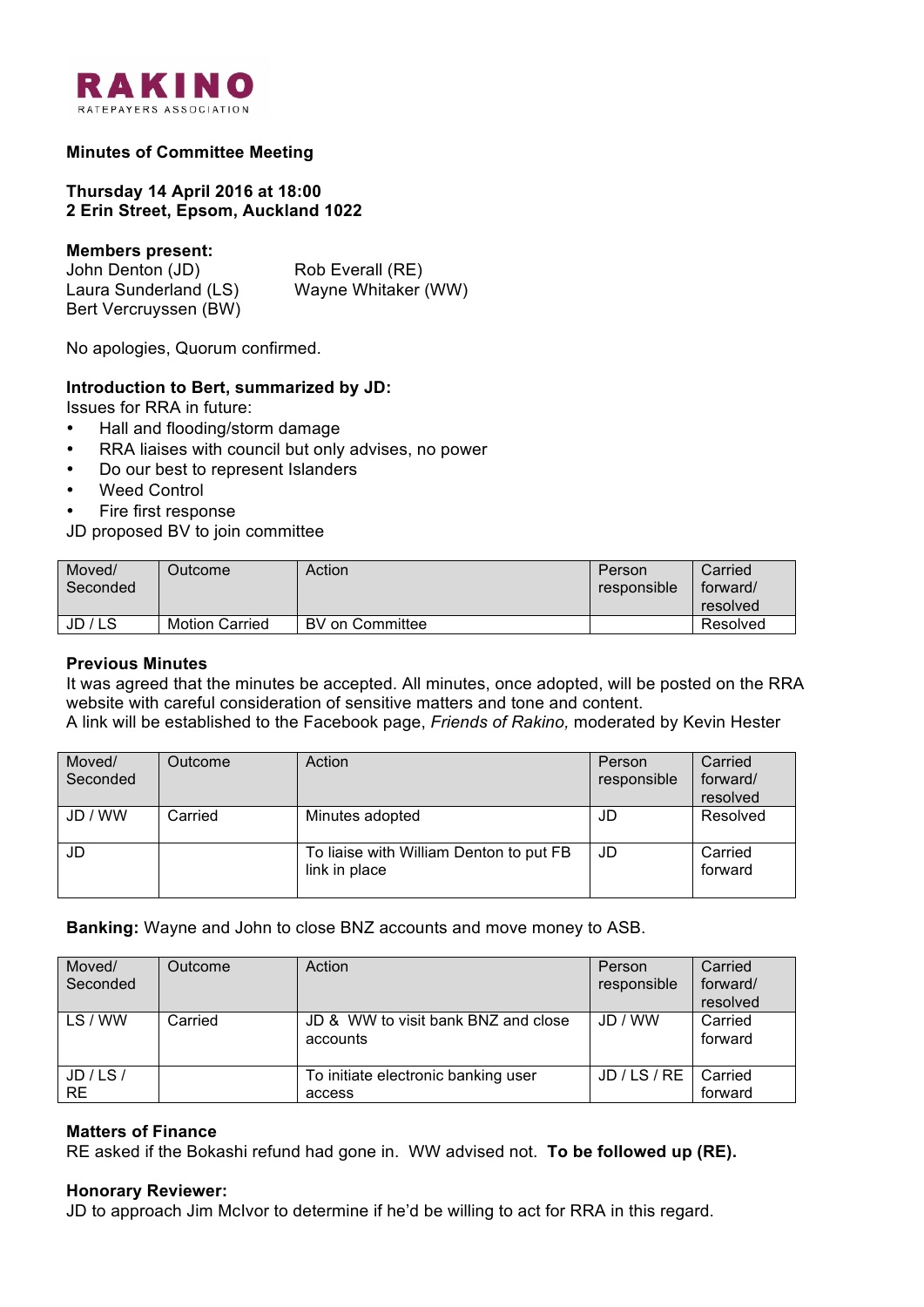

## **Minutes of Committee Meeting**

## **Thursday 14 April 2016 at 18:00 2 Erin Street, Epsom, Auckland 1022**

#### **Members present:**

John Denton (JD) Rob Everall (RE) Laura Sunderland (LS) Wayne Whitaker (WW) Bert Vercruyssen (BW)

No apologies, Quorum confirmed.

### **Introduction to Bert, summarized by JD:**

Issues for RRA in future:

- Hall and flooding/storm damage
- RRA liaises with council but only advises, no power
- Do our best to represent Islanders
- Weed Control
- Fire first response

JD proposed BV to join committee

| Moved/<br>Seconded | Outcome <sup>-</sup>  | Action          | Person<br>responsible | Carried<br>forward/<br>resolved |
|--------------------|-----------------------|-----------------|-----------------------|---------------------------------|
| JD / LS            | <b>Motion Carried</b> | BV on Committee |                       | Resolved                        |

#### **Previous Minutes**

It was agreed that the minutes be accepted. All minutes, once adopted, will be posted on the RRA website with careful consideration of sensitive matters and tone and content.

A link will be established to the Facebook page, *Friends of Rakino,* moderated by Kevin Hester

| Moved/<br>Seconded | Outcome | Action                                                   | Person<br>responsible | Carried<br>forward/<br>resolved |
|--------------------|---------|----------------------------------------------------------|-----------------------|---------------------------------|
| JD / WW            | Carried | Minutes adopted                                          | JD                    | Resolved                        |
| JD                 |         | To liaise with William Denton to put FB<br>link in place | JD                    | Carried<br>forward              |

**Banking:** Wayne and John to close BNZ accounts and move money to ASB.

| Moved/<br>Seconded     | Outcome | Action                                          | Person<br>responsible | Carried<br>forward/<br>resolved |
|------------------------|---------|-------------------------------------------------|-----------------------|---------------------------------|
| LS/WW                  | Carried | JD & WW to visit bank BNZ and close<br>accounts | JD / WW               | Carried<br>forward              |
| JD / LS /<br><b>RE</b> |         | To initiate electronic banking user<br>access   | JD / LS / RE          | Carried<br>forward              |

#### **Matters of Finance**

RE asked if the Bokashi refund had gone in. WW advised not. **To be followed up (RE).**

#### **Honorary Reviewer:**

JD to approach Jim McIvor to determine if he'd be willing to act for RRA in this regard.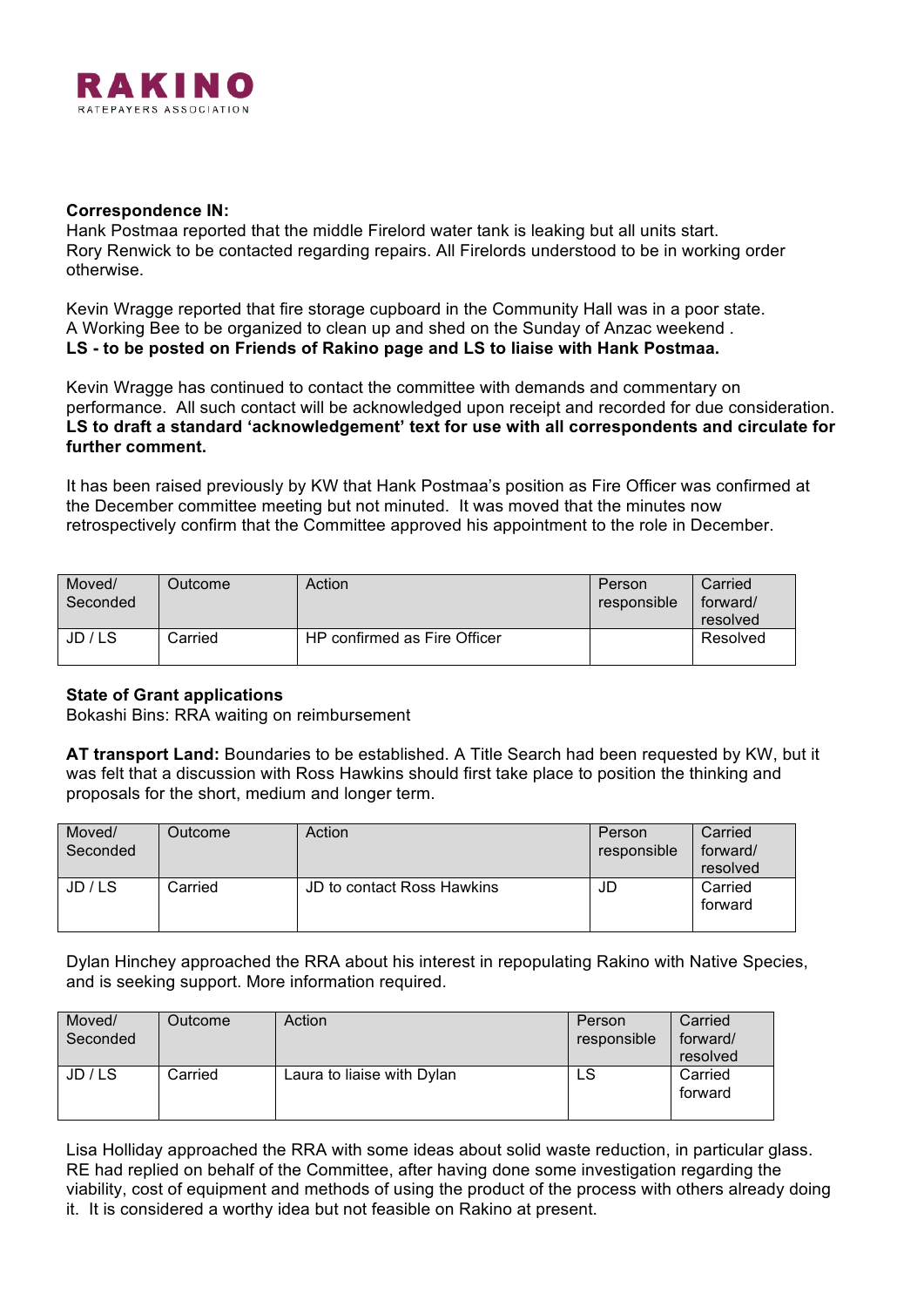

### **Correspondence IN:**

Hank Postmaa reported that the middle Firelord water tank is leaking but all units start. Rory Renwick to be contacted regarding repairs. All Firelords understood to be in working order otherwise.

Kevin Wragge reported that fire storage cupboard in the Community Hall was in a poor state. A Working Bee to be organized to clean up and shed on the Sunday of Anzac weekend . **LS - to be posted on Friends of Rakino page and LS to liaise with Hank Postmaa.**

Kevin Wragge has continued to contact the committee with demands and commentary on performance. All such contact will be acknowledged upon receipt and recorded for due consideration. **LS to draft a standard 'acknowledgement' text for use with all correspondents and circulate for further comment.**

It has been raised previously by KW that Hank Postmaa's position as Fire Officer was confirmed at the December committee meeting but not minuted. It was moved that the minutes now retrospectively confirm that the Committee approved his appointment to the role in December.

| Moved/<br>Seconded | Dutcome⊹ | Action                       | Person<br>responsible | Carried<br>forward/<br>resolved |
|--------------------|----------|------------------------------|-----------------------|---------------------------------|
| JD / LS            | Carried  | HP confirmed as Fire Officer |                       | Resolved                        |

# **State of Grant applications**

Bokashi Bins: RRA waiting on reimbursement

**AT transport Land:** Boundaries to be established. A Title Search had been requested by KW, but it was felt that a discussion with Ross Hawkins should first take place to position the thinking and proposals for the short, medium and longer term.

| Moved/<br>Seconded | Outcome | Action                     | Person<br>responsible | Carried<br>forward/<br>resolved |
|--------------------|---------|----------------------------|-----------------------|---------------------------------|
| JD / LS            | Carried | JD to contact Ross Hawkins | JD                    | Carried<br>forward              |

Dylan Hinchey approached the RRA about his interest in repopulating Rakino with Native Species, and is seeking support. More information required.

| Moved/<br>Seconded | Outcome | Action                     | Person<br>responsible | Carried<br>forward/<br>resolved |
|--------------------|---------|----------------------------|-----------------------|---------------------------------|
| JD / LS            | Carried | Laura to liaise with Dylan | LS                    | Carried<br>forward              |

Lisa Holliday approached the RRA with some ideas about solid waste reduction, in particular glass. RE had replied on behalf of the Committee, after having done some investigation regarding the viability, cost of equipment and methods of using the product of the process with others already doing it. It is considered a worthy idea but not feasible on Rakino at present.